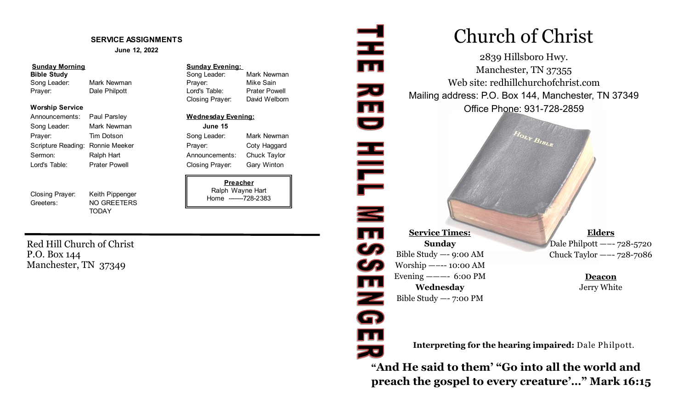#### **SERVICE ASSIGNMENTS**

**June 12, 2022**

#### **Sunday Morning Sunday Evening:**

Song Leader: Mark Newman **Prayer:** Mike Sain Prayer: Cale Philpott Lord's Table: Prater Powell

#### **Worship Service**

Announcements: Paul Parsley **Wednesday Evening:** Song Leader: Mark Newman **June 15** Prayer: Tim Dotson Song Leader: Mark Newman Scripture Reading: Ronnie Meeker Prayer: Coty Haggard Sermon: Ralph Hart **Announcements:** Chuck Taylor Lord's Table: Prater Powell Closing Prayer: Gary Winton

Closing Prayer: Keith Pippenger Greeters: NO GREETERS

**TODAY** 

**Bible Study Song Leader:** Mark Newman **Bible Study** Song Leader: Mark Newman Closing Prayer: David Welborn

**Preacher** Ralph Wayne Hart Home -------728-2383

Red Hill Church of Christ P.O. Box 144 Manchester, TN 37349

# 로 Church of Christ Web site: redhillchurchofchrist.com zu<br>III<br>U Mailing address: P.O. Box 144, Manchester, TN 37349 HILL NE39

**Service Times: Sunday** Bible Study —- 9:00 AM Worship —–-- 10:00 AM Evening  $--- 6:00 \text{ PM}$ **Wednesday** Bible Study —- 7:00 PM

 $\overline{\mathbf{m}}$ 

Z<br>Q

**TI** 

**Elders** Dale Philpott —–- 728-5720 Chuck Taylor —–- 728-7086

> **Deacon** Jerry White

**Interpreting for the hearing impaired:** Dale Philpott.

2839 Hillsboro Hwy. Manchester, TN 37355

Office Phone: 931-728-2859

 $H_{OLY}$   $B_{IBL_R}$ 

**"And He said to them' "Go into all the world and preach the gospel to every creature'…" Mark 16:15**